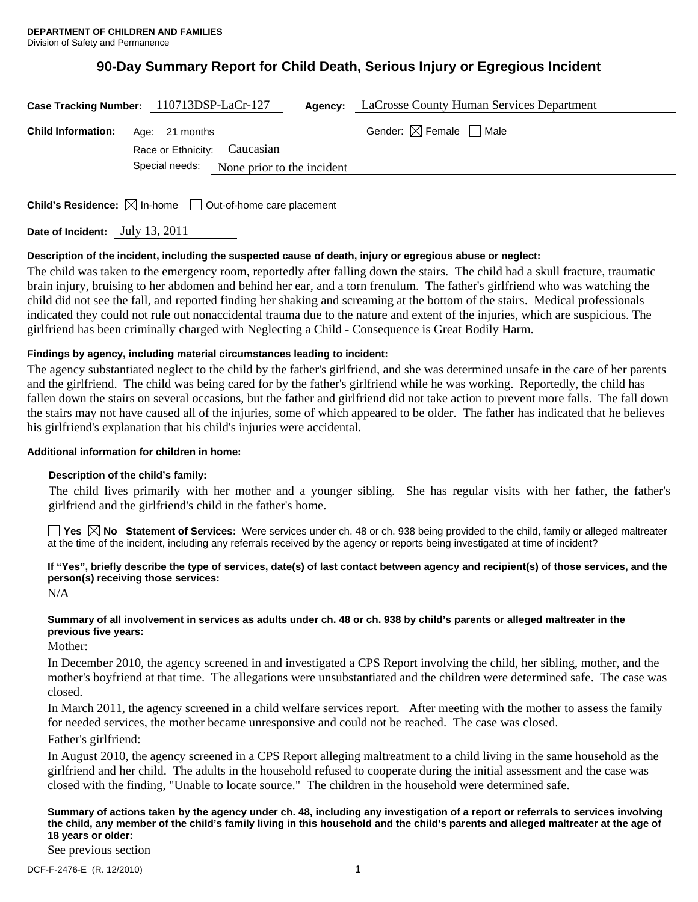# **90-Day Summary Report for Child Death, Serious Injury or Egregious Incident**

| Case Tracking Number: 110713DSP-LaCr-127 |                |                              | Agency: | LaCrosse County Human Services Department |
|------------------------------------------|----------------|------------------------------|---------|-------------------------------------------|
| <b>Child Information:</b>                | Age: 21 months | Race or Ethnicity: Caucasian |         | Gender: $\boxtimes$ Female $\Box$ Male    |
|                                          | Special needs: | None prior to the incident   |         |                                           |

**Child's Residence:**  $\boxtimes$  In-home  $\Box$  Out-of-home care placement

**Date of Incident:** July 13, 2011

# **Description of the incident, including the suspected cause of death, injury or egregious abuse or neglect:**

The child was taken to the emergency room, reportedly after falling down the stairs. The child had a skull fracture, traumatic brain injury, bruising to her abdomen and behind her ear, and a torn frenulum. The father's girlfriend who was watching the child did not see the fall, and reported finding her shaking and screaming at the bottom of the stairs. Medical professionals indicated they could not rule out nonaccidental trauma due to the nature and extent of the injuries, which are suspicious. The girlfriend has been criminally charged with Neglecting a Child - Consequence is Great Bodily Harm.

# **Findings by agency, including material circumstances leading to incident:**

The agency substantiated neglect to the child by the father's girlfriend, and she was determined unsafe in the care of her parents and the girlfriend. The child was being cared for by the father's girlfriend while he was working. Reportedly, the child has fallen down the stairs on several occasions, but the father and girlfriend did not take action to prevent more falls. The fall down the stairs may not have caused all of the injuries, some of which appeared to be older. The father has indicated that he believes his girlfriend's explanation that his child's injuries were accidental.

# **Additional information for children in home:**

# **Description of the child's family:**

The child lives primarily with her mother and a younger sibling. She has regular visits with her father, the father's girlfriend and the girlfriend's child in the father's home.

**Yes**  $\boxtimes$  **No** Statement of Services: Were services under ch. 48 or ch. 938 being provided to the child, family or alleged maltreater at the time of the incident, including any referrals received by the agency or reports being investigated at time of incident?

# **If "Yes", briefly describe the type of services, date(s) of last contact between agency and recipient(s) of those services, and the person(s) receiving those services:**

N/A

# **Summary of all involvement in services as adults under ch. 48 or ch. 938 by child's parents or alleged maltreater in the previous five years:**

Mother:

In December 2010, the agency screened in and investigated a CPS Report involving the child, her sibling, mother, and the mother's boyfriend at that time. The allegations were unsubstantiated and the children were determined safe. The case was closed.

In March 2011, the agency screened in a child welfare services report. After meeting with the mother to assess the family for needed services, the mother became unresponsive and could not be reached. The case was closed.

Father's girlfriend:

In August 2010, the agency screened in a CPS Report alleging maltreatment to a child living in the same household as the girlfriend and her child. The adults in the household refused to cooperate during the initial assessment and the case was closed with the finding, "Unable to locate source." The children in the household were determined safe.

#### **Summary of actions taken by the agency under ch. 48, including any investigation of a report or referrals to services involving the child, any member of the child's family living in this household and the child's parents and alleged maltreater at the age of 18 years or older:**

See previous section